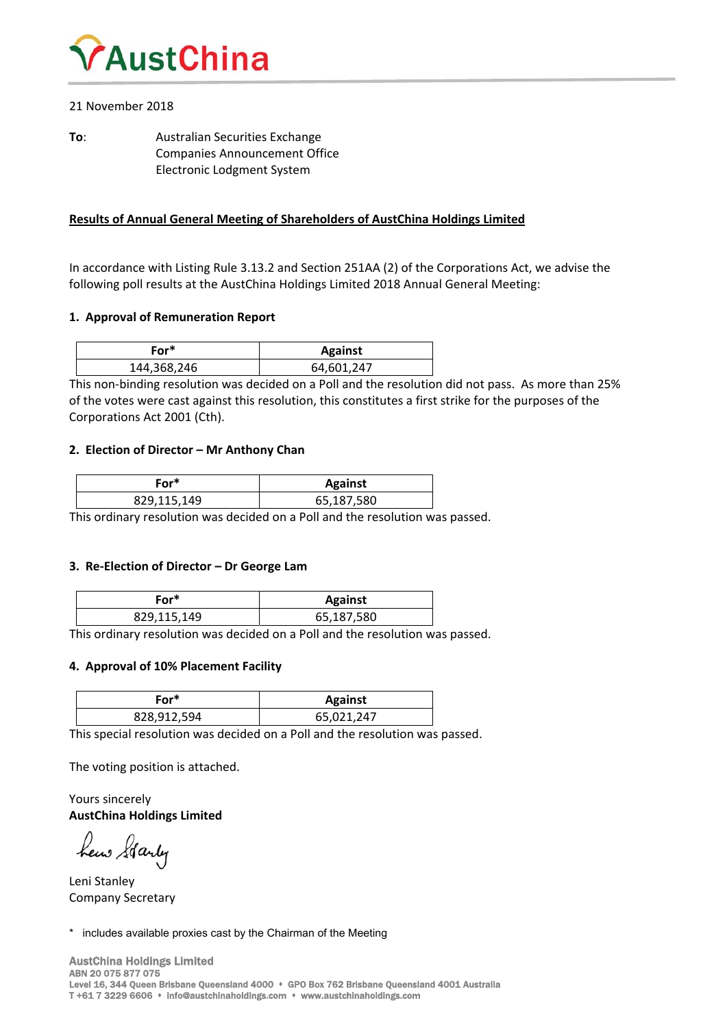

# 21 November 2018

**To:** Australian Securities Exchange Companies Announcement Office Electronic Lodgment System

# **Results of Annual General Meeting of Shareholders of AustChina Holdings Limited**

In accordance with Listing Rule 3.13.2 and Section 251AA (2) of the Corporations Act, we advise the following poll results at the AustChina Holdings Limited 2018 Annual General Meeting:

### **1. Approval of Remuneration Report**

| For*        | <b>Against</b> |  |  |  |  |
|-------------|----------------|--|--|--|--|
| 144,368,246 | 64,601,247     |  |  |  |  |

This non‐binding resolution was decided on a Poll and the resolution did not pass. As more than 25% of the votes were cast against this resolution, this constitutes a first strike for the purposes of the Corporations Act 2001 (Cth).

### **2. Election of Director – Mr Anthony Chan**

| -or*        | <b>Against</b> |  |  |
|-------------|----------------|--|--|
| 829,115,149 | 65,187,580     |  |  |

This ordinary resolution was decided on a Poll and the resolution was passed.

### **3. Re‐Election of Director – Dr George Lam**

| -or*        | <b>Against</b> |
|-------------|----------------|
| 829,115,149 | 65,187,580     |

This ordinary resolution was decided on a Poll and the resolution was passed.

# **4. Approval of 10% Placement Facility**

| .-or*       | <b>Against</b> |
|-------------|----------------|
| 828,912,594 | 65,021,247     |

This special resolution was decided on a Poll and the resolution was passed.

The voting position is attached.

Yours sincerely **AustChina Holdings Limited**

hew Starty

Leni Stanley Company Secretary

\* includes available proxies cast by the Chairman of the Meeting